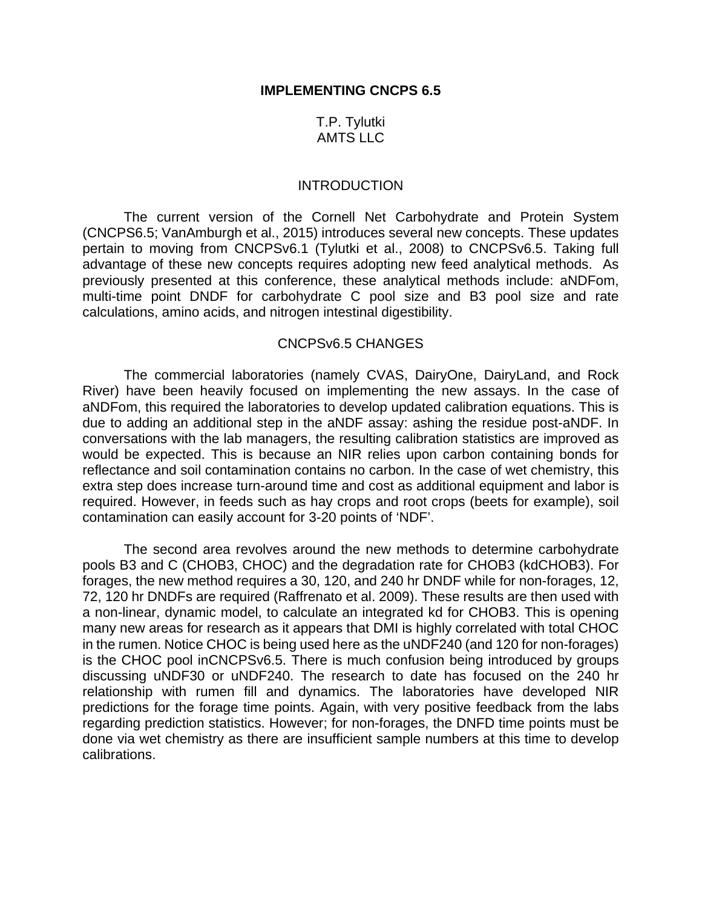# T.P. Tylutki AMTS LLC

#### **INTRODUCTION**

The current version of the Cornell Net Carbohydrate and Protein System (CNCPS6.5; VanAmburgh et al., 2015) introduces several new concepts. These updates pertain to moving from CNCPSv6.1 (Tylutki et al., 2008) to CNCPSv6.5. Taking full advantage of these new concepts requires adopting new feed analytical methods. As previously presented at this conference, these analytical methods include: aNDFom, multi-time point DNDF for carbohydrate C pool size and B3 pool size and rate calculations, amino acids, and nitrogen intestinal digestibility.

#### CNCPSv6.5 CHANGES

The commercial laboratories (namely CVAS, DairyOne, DairyLand, and Rock River) have been heavily focused on implementing the new assays. In the case of aNDFom, this required the laboratories to develop updated calibration equations. This is due to adding an additional step in the aNDF assay: ashing the residue post-aNDF. In conversations with the lab managers, the resulting calibration statistics are improved as would be expected. This is because an NIR relies upon carbon containing bonds for reflectance and soil contamination contains no carbon. In the case of wet chemistry, this extra step does increase turn-around time and cost as additional equipment and labor is required. However, in feeds such as hay crops and root crops (beets for example), soil contamination can easily account for 3-20 points of 'NDF'.

The second area revolves around the new methods to determine carbohydrate pools B3 and C (CHOB3, CHOC) and the degradation rate for CHOB3 (kdCHOB3). For forages, the new method requires a 30, 120, and 240 hr DNDF while for non-forages, 12, 72, 120 hr DNDFs are required (Raffrenato et al. 2009). These results are then used with a non-linear, dynamic model, to calculate an integrated kd for CHOB3. This is opening many new areas for research as it appears that DMI is highly correlated with total CHOC in the rumen. Notice CHOC is being used here as the uNDF240 (and 120 for non-forages) is the CHOC pool inCNCPSv6.5. There is much confusion being introduced by groups discussing uNDF30 or uNDF240. The research to date has focused on the 240 hr relationship with rumen fill and dynamics. The laboratories have developed NIR predictions for the forage time points. Again, with very positive feedback from the labs regarding prediction statistics. However; for non-forages, the DNFD time points must be done via wet chemistry as there are insufficient sample numbers at this time to develop calibrations.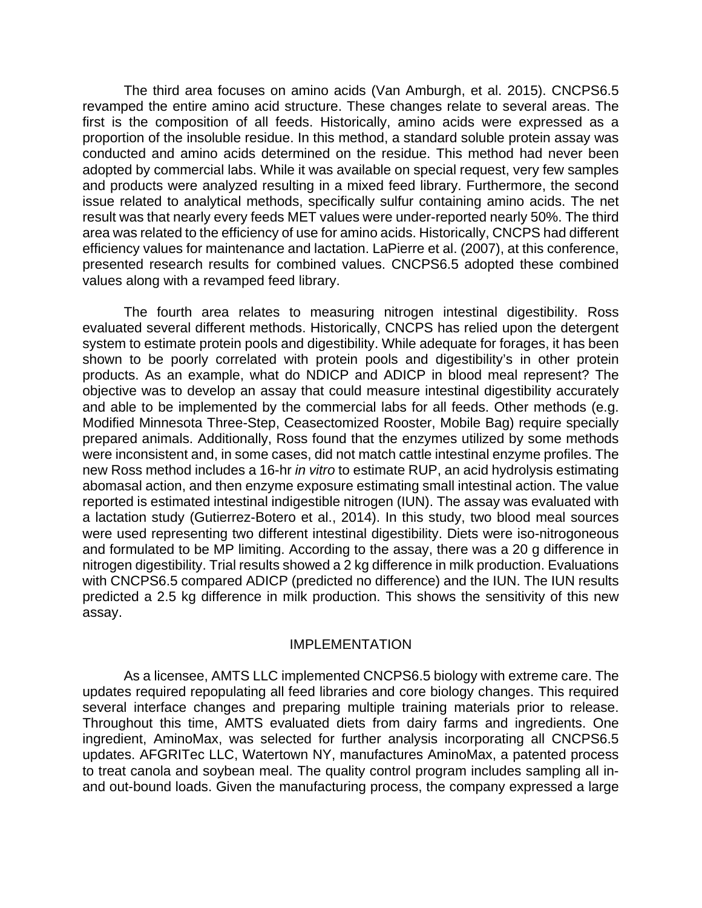The third area focuses on amino acids (Van Amburgh, et al. 2015). CNCPS6.5 revamped the entire amino acid structure. These changes relate to several areas. The first is the composition of all feeds. Historically, amino acids were expressed as a proportion of the insoluble residue. In this method, a standard soluble protein assay was conducted and amino acids determined on the residue. This method had never been adopted by commercial labs. While it was available on special request, very few samples and products were analyzed resulting in a mixed feed library. Furthermore, the second issue related to analytical methods, specifically sulfur containing amino acids. The net result was that nearly every feeds MET values were under-reported nearly 50%. The third area was related to the efficiency of use for amino acids. Historically, CNCPS had different efficiency values for maintenance and lactation. LaPierre et al. (2007), at this conference, presented research results for combined values. CNCPS6.5 adopted these combined values along with a revamped feed library.

The fourth area relates to measuring nitrogen intestinal digestibility. Ross evaluated several different methods. Historically, CNCPS has relied upon the detergent system to estimate protein pools and digestibility. While adequate for forages, it has been shown to be poorly correlated with protein pools and digestibility's in other protein products. As an example, what do NDICP and ADICP in blood meal represent? The objective was to develop an assay that could measure intestinal digestibility accurately and able to be implemented by the commercial labs for all feeds. Other methods (e.g. Modified Minnesota Three-Step, Ceasectomized Rooster, Mobile Bag) require specially prepared animals. Additionally, Ross found that the enzymes utilized by some methods were inconsistent and, in some cases, did not match cattle intestinal enzyme profiles. The new Ross method includes a 16-hr *in vitro* to estimate RUP, an acid hydrolysis estimating abomasal action, and then enzyme exposure estimating small intestinal action. The value reported is estimated intestinal indigestible nitrogen (IUN). The assay was evaluated with a lactation study (Gutierrez-Botero et al., 2014). In this study, two blood meal sources were used representing two different intestinal digestibility. Diets were iso-nitrogoneous and formulated to be MP limiting. According to the assay, there was a 20 g difference in nitrogen digestibility. Trial results showed a 2 kg difference in milk production. Evaluations with CNCPS6.5 compared ADICP (predicted no difference) and the IUN. The IUN results predicted a 2.5 kg difference in milk production. This shows the sensitivity of this new assay.

### IMPLEMENTATION

As a licensee, AMTS LLC implemented CNCPS6.5 biology with extreme care. The updates required repopulating all feed libraries and core biology changes. This required several interface changes and preparing multiple training materials prior to release. Throughout this time, AMTS evaluated diets from dairy farms and ingredients. One ingredient, AminoMax, was selected for further analysis incorporating all CNCPS6.5 updates. AFGRITec LLC, Watertown NY, manufactures AminoMax, a patented process to treat canola and soybean meal. The quality control program includes sampling all inand out-bound loads. Given the manufacturing process, the company expressed a large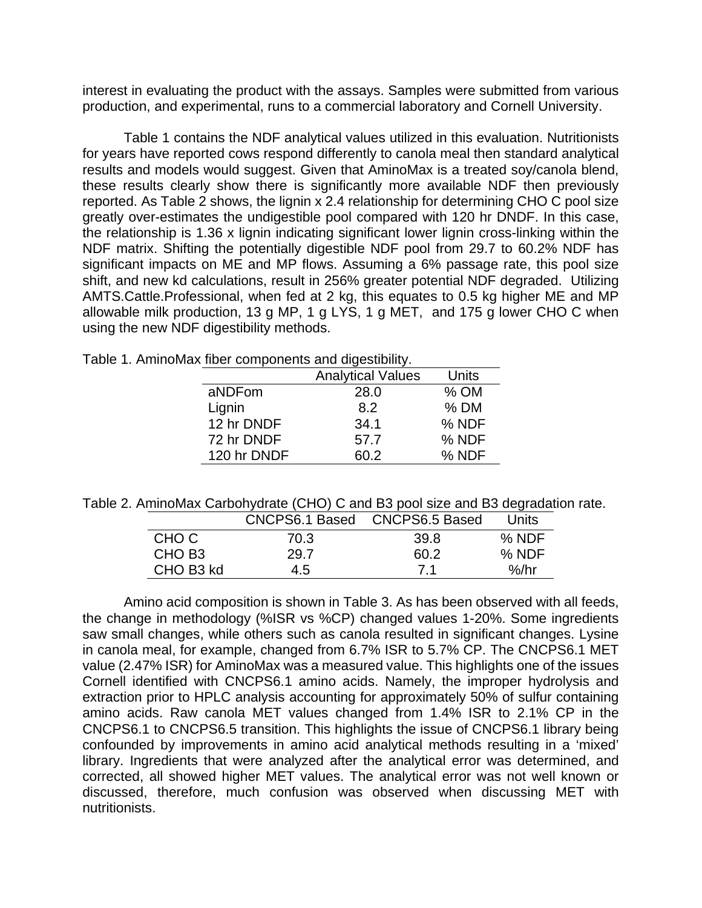interest in evaluating the product with the assays. Samples were submitted from various production, and experimental, runs to a commercial laboratory and Cornell University.

Table 1 contains the NDF analytical values utilized in this evaluation. Nutritionists for years have reported cows respond differently to canola meal then standard analytical results and models would suggest. Given that AminoMax is a treated soy/canola blend, these results clearly show there is significantly more available NDF then previously reported. As Table 2 shows, the lignin x 2.4 relationship for determining CHO C pool size greatly over-estimates the undigestible pool compared with 120 hr DNDF. In this case, the relationship is 1.36 x lignin indicating significant lower lignin cross-linking within the NDF matrix. Shifting the potentially digestible NDF pool from 29.7 to 60.2% NDF has significant impacts on ME and MP flows. Assuming a 6% passage rate, this pool size shift, and new kd calculations, result in 256% greater potential NDF degraded. Utilizing AMTS.Cattle.Professional, when fed at 2 kg, this equates to 0.5 kg higher ME and MP allowable milk production, 13 g MP, 1 g LYS, 1 g MET, and 175 g lower CHO C when using the new NDF digestibility methods.

|  |  |  |  | Table 1. AminoMax fiber components and digestibility. |  |  |
|--|--|--|--|-------------------------------------------------------|--|--|
|--|--|--|--|-------------------------------------------------------|--|--|

|             | <b>Analytical Values</b> | Units  |
|-------------|--------------------------|--------|
| aNDFom      | 28.0                     | $%$ OM |
| Lignin      | 8.2                      | $%$ DM |
| 12 hr DNDF  | 34.1                     | % NDF  |
| 72 hr DNDF  | 57.7                     | % NDF  |
| 120 hr DNDF | 60.2                     | % NDF  |

Table 2. AminoMax Carbohydrate (CHO) C and B3 pool size and B3 degradation rate.

|                    | CNCPS6.1 Based | CNCPS6.5 Based | Units |
|--------------------|----------------|----------------|-------|
| CHO C              | 70.3           | 39.8           | % NDF |
| CHO B <sub>3</sub> | 29.7           | 60.2           | % NDF |
| CHO B3 kd          | 4.5            | 71             | %/hr  |

Amino acid composition is shown in Table 3. As has been observed with all feeds, the change in methodology (%ISR vs %CP) changed values 1-20%. Some ingredients saw small changes, while others such as canola resulted in significant changes. Lysine in canola meal, for example, changed from 6.7% ISR to 5.7% CP. The CNCPS6.1 MET value (2.47% ISR) for AminoMax was a measured value. This highlights one of the issues Cornell identified with CNCPS6.1 amino acids. Namely, the improper hydrolysis and extraction prior to HPLC analysis accounting for approximately 50% of sulfur containing amino acids. Raw canola MET values changed from 1.4% ISR to 2.1% CP in the CNCPS6.1 to CNCPS6.5 transition. This highlights the issue of CNCPS6.1 library being confounded by improvements in amino acid analytical methods resulting in a 'mixed' library. Ingredients that were analyzed after the analytical error was determined, and corrected, all showed higher MET values. The analytical error was not well known or discussed, therefore, much confusion was observed when discussing MET with nutritionists.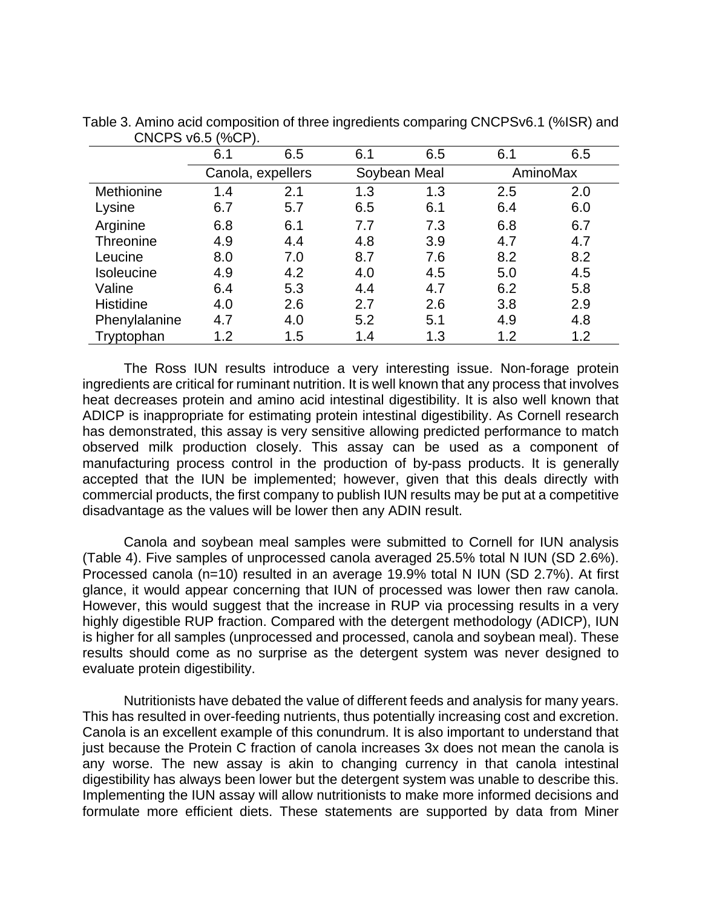|                  | 6.1               | 6.5 | 6.1          | 6.5 | 6.1      | 6.5 |
|------------------|-------------------|-----|--------------|-----|----------|-----|
|                  | Canola, expellers |     | Soybean Meal |     | AminoMax |     |
| Methionine       | 1.4               | 2.1 | 1.3          | 1.3 | 2.5      | 2.0 |
| Lysine           | 6.7               | 5.7 | 6.5          | 6.1 | 6.4      | 6.0 |
| Arginine         | 6.8               | 6.1 | 7.7          | 7.3 | 6.8      | 6.7 |
| <b>Threonine</b> | 4.9               | 4.4 | 4.8          | 3.9 | 4.7      | 4.7 |
| Leucine          | 8.0               | 7.0 | 8.7          | 7.6 | 8.2      | 8.2 |
| Isoleucine       | 4.9               | 4.2 | 4.0          | 4.5 | 5.0      | 4.5 |
| Valine           | 6.4               | 5.3 | 4.4          | 4.7 | 6.2      | 5.8 |
| <b>Histidine</b> | 4.0               | 2.6 | 2.7          | 2.6 | 3.8      | 2.9 |
| Phenylalanine    | 4.7               | 4.0 | 5.2          | 5.1 | 4.9      | 4.8 |
| Tryptophan       | 1.2               | 1.5 | 1.4          | 1.3 | 1.2      | 1.2 |

Table 3. Amino acid composition of three ingredients comparing CNCPSv6.1 (%ISR) and CNCPS v6.5 (%CP).

The Ross IUN results introduce a very interesting issue. Non-forage protein ingredients are critical for ruminant nutrition. It is well known that any process that involves heat decreases protein and amino acid intestinal digestibility. It is also well known that ADICP is inappropriate for estimating protein intestinal digestibility. As Cornell research has demonstrated, this assay is very sensitive allowing predicted performance to match observed milk production closely. This assay can be used as a component of manufacturing process control in the production of by-pass products. It is generally accepted that the IUN be implemented; however, given that this deals directly with commercial products, the first company to publish IUN results may be put at a competitive disadvantage as the values will be lower then any ADIN result.

Canola and soybean meal samples were submitted to Cornell for IUN analysis (Table 4). Five samples of unprocessed canola averaged 25.5% total N IUN (SD 2.6%). Processed canola (n=10) resulted in an average 19.9% total N IUN (SD 2.7%). At first glance, it would appear concerning that IUN of processed was lower then raw canola. However, this would suggest that the increase in RUP via processing results in a very highly digestible RUP fraction. Compared with the detergent methodology (ADICP), IUN is higher for all samples (unprocessed and processed, canola and soybean meal). These results should come as no surprise as the detergent system was never designed to evaluate protein digestibility.

Nutritionists have debated the value of different feeds and analysis for many years. This has resulted in over-feeding nutrients, thus potentially increasing cost and excretion. Canola is an excellent example of this conundrum. It is also important to understand that just because the Protein C fraction of canola increases 3x does not mean the canola is any worse. The new assay is akin to changing currency in that canola intestinal digestibility has always been lower but the detergent system was unable to describe this. Implementing the IUN assay will allow nutritionists to make more informed decisions and formulate more efficient diets. These statements are supported by data from Miner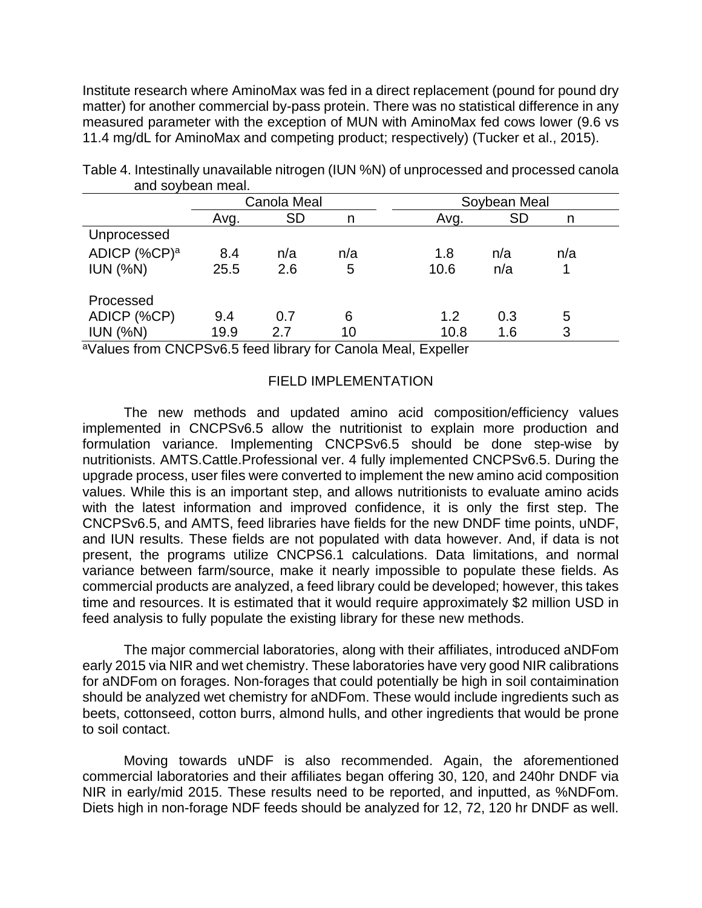Institute research where AminoMax was fed in a direct replacement (pound for pound dry matter) for another commercial by-pass protein. There was no statistical difference in any measured parameter with the exception of MUN with AminoMax fed cows lower (9.6 vs 11.4 mg/dL for AminoMax and competing product; respectively) (Tucker et al., 2015).

|                          | Canola Meal |           |     | Soybean Meal           |  |  |
|--------------------------|-------------|-----------|-----|------------------------|--|--|
|                          | Avg.        | <b>SD</b> | n   | <b>SD</b><br>Avg.<br>n |  |  |
| Unprocessed              |             |           |     |                        |  |  |
| ADICP (%CP) <sup>a</sup> | 8.4         | n/a       | n/a | 1.8<br>n/a<br>n/a      |  |  |
| IUN (%N)                 | 25.5        | 2.6       | 5   | 10.6<br>n/a            |  |  |
| Processed                |             |           |     |                        |  |  |
| ADICP (%CP)              | 9.4         | 0.7       | 6   | 1.2<br>0.3<br>5        |  |  |
| IUN (%N)                 | 19.9        | 2.7       | 10  | 3<br>10.8<br>1.6       |  |  |

Table 4. Intestinally unavailable nitrogen (IUN %N) of unprocessed and processed canola and soybean meal.

<sup>a</sup>Values from CNCPSv6.5 feed library for Canola Meal, Expeller

### FIELD IMPLEMENTATION

The new methods and updated amino acid composition/efficiency values implemented in CNCPSv6.5 allow the nutritionist to explain more production and formulation variance. Implementing CNCPSv6.5 should be done step-wise by nutritionists. AMTS.Cattle.Professional ver. 4 fully implemented CNCPSv6.5. During the upgrade process, user files were converted to implement the new amino acid composition values. While this is an important step, and allows nutritionists to evaluate amino acids with the latest information and improved confidence, it is only the first step. The CNCPSv6.5, and AMTS, feed libraries have fields for the new DNDF time points, uNDF, and IUN results. These fields are not populated with data however. And, if data is not present, the programs utilize CNCPS6.1 calculations. Data limitations, and normal variance between farm/source, make it nearly impossible to populate these fields. As commercial products are analyzed, a feed library could be developed; however, this takes time and resources. It is estimated that it would require approximately \$2 million USD in feed analysis to fully populate the existing library for these new methods.

The major commercial laboratories, along with their affiliates, introduced aNDFom early 2015 via NIR and wet chemistry. These laboratories have very good NIR calibrations for aNDFom on forages. Non-forages that could potentially be high in soil contaimination should be analyzed wet chemistry for aNDFom. These would include ingredients such as beets, cottonseed, cotton burrs, almond hulls, and other ingredients that would be prone to soil contact.

Moving towards uNDF is also recommended. Again, the aforementioned commercial laboratories and their affiliates began offering 30, 120, and 240hr DNDF via NIR in early/mid 2015. These results need to be reported, and inputted, as %NDFom. Diets high in non-forage NDF feeds should be analyzed for 12, 72, 120 hr DNDF as well.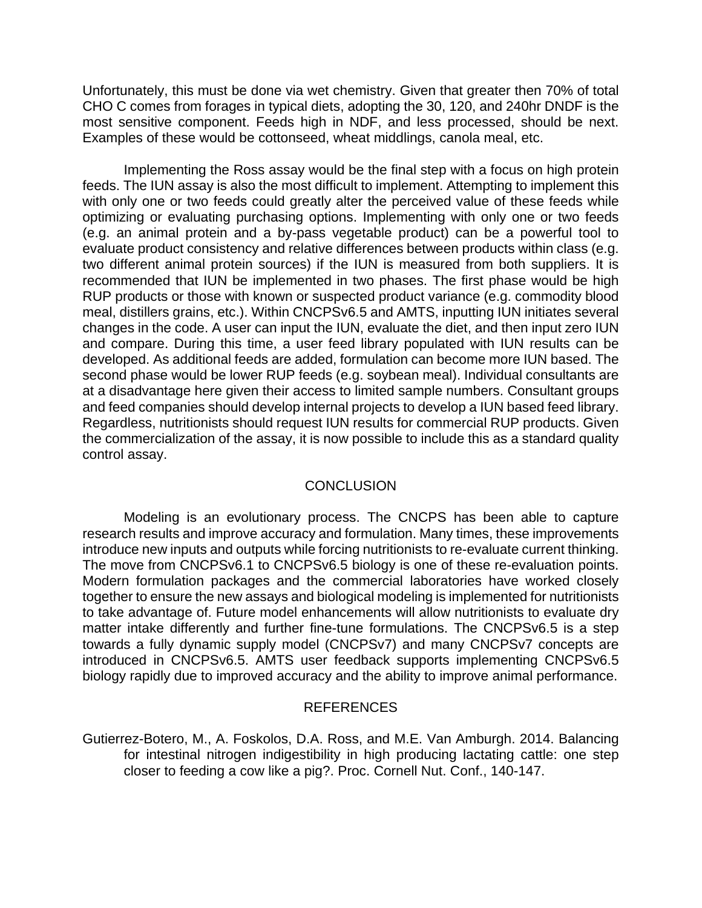Unfortunately, this must be done via wet chemistry. Given that greater then 70% of total CHO C comes from forages in typical diets, adopting the 30, 120, and 240hr DNDF is the most sensitive component. Feeds high in NDF, and less processed, should be next. Examples of these would be cottonseed, wheat middlings, canola meal, etc.

Implementing the Ross assay would be the final step with a focus on high protein feeds. The IUN assay is also the most difficult to implement. Attempting to implement this with only one or two feeds could greatly alter the perceived value of these feeds while optimizing or evaluating purchasing options. Implementing with only one or two feeds (e.g. an animal protein and a by-pass vegetable product) can be a powerful tool to evaluate product consistency and relative differences between products within class (e.g. two different animal protein sources) if the IUN is measured from both suppliers. It is recommended that IUN be implemented in two phases. The first phase would be high RUP products or those with known or suspected product variance (e.g. commodity blood meal, distillers grains, etc.). Within CNCPSv6.5 and AMTS, inputting IUN initiates several changes in the code. A user can input the IUN, evaluate the diet, and then input zero IUN and compare. During this time, a user feed library populated with IUN results can be developed. As additional feeds are added, formulation can become more IUN based. The second phase would be lower RUP feeds (e.g. soybean meal). Individual consultants are at a disadvantage here given their access to limited sample numbers. Consultant groups and feed companies should develop internal projects to develop a IUN based feed library. Regardless, nutritionists should request IUN results for commercial RUP products. Given the commercialization of the assay, it is now possible to include this as a standard quality control assay.

# **CONCLUSION**

Modeling is an evolutionary process. The CNCPS has been able to capture research results and improve accuracy and formulation. Many times, these improvements introduce new inputs and outputs while forcing nutritionists to re-evaluate current thinking. The move from CNCPSv6.1 to CNCPSv6.5 biology is one of these re-evaluation points. Modern formulation packages and the commercial laboratories have worked closely together to ensure the new assays and biological modeling is implemented for nutritionists to take advantage of. Future model enhancements will allow nutritionists to evaluate dry matter intake differently and further fine-tune formulations. The CNCPSv6.5 is a step towards a fully dynamic supply model (CNCPSv7) and many CNCPSv7 concepts are introduced in CNCPSv6.5. AMTS user feedback supports implementing CNCPSv6.5 biology rapidly due to improved accuracy and the ability to improve animal performance.

## REFERENCES

Gutierrez-Botero, M., A. Foskolos, D.A. Ross, and M.E. Van Amburgh. 2014. Balancing for intestinal nitrogen indigestibility in high producing lactating cattle: one step closer to feeding a cow like a pig?. Proc. Cornell Nut. Conf., 140-147.